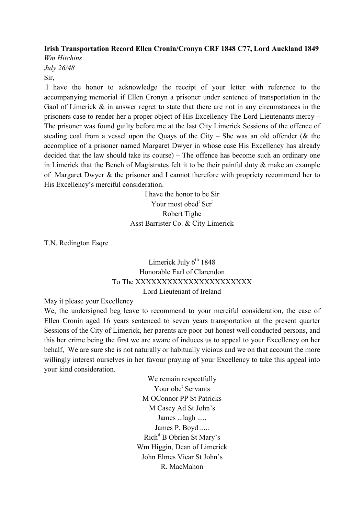## Irish Transportation Record Ellen Cronin/Cronyn CRF 1848 C77, Lord Auckland 1849

Wm Hitchins July 26/48 Sir,

 I have the honor to acknowledge the receipt of your letter with reference to the accompanying memorial if Ellen Cronyn a prisoner under sentence of transportation in the Gaol of Limerick  $\&$  in answer regret to state that there are not in any circumstances in the prisoners case to render her a proper object of His Excellency The Lord Lieutenants mercy – The prisoner was found guilty before me at the last City Limerick Sessions of the offence of stealing coal from a vessel upon the Quays of the City – She was an old offender ( $\&$  the accomplice of a prisoner named Margaret Dwyer in whose case His Excellency has already decided that the law should take its course) – The offence has become such an ordinary one in Limerick that the Bench of Magistrates felt it to be their painful duty & make an example of Margaret Dwyer & the prisoner and I cannot therefore with propriety recommend her to His Excellency's merciful consideration.

> I have the honor to be Sir Your most obed<sup>t</sup> Ser<sup>t</sup> Robert Tighe Asst Barrister Co. & City Limerick

T.N. Redington Esqre

Limerick July  $6<sup>th</sup>$  1848 Honorable Earl of Clarendon To The XXXXXXXXXXXXXXXXXXXXXX Lord Lieutenant of Ireland

May it please your Excellency

We, the undersigned beg leave to recommend to your merciful consideration, the case of Ellen Cronin aged 16 years sentenced to seven years transportation at the present quarter Sessions of the City of Limerick, her parents are poor but honest well conducted persons, and this her crime being the first we are aware of induces us to appeal to your Excellency on her behalf, We are sure she is not naturally or habitually vicious and we on that account the more willingly interest ourselves in her favour praying of your Excellency to take this appeal into your kind consideration.

> We remain respectfully Your obe<sup>t</sup> Servants M OConnor PP St Patricks M Casey Ad St John's James ...lagh ..... James P. Boyd ..... Rich<sup>d</sup> B Obrien St Mary's Wm Higgin, Dean of Limerick John Elmes Vicar St John's R. MacMahon